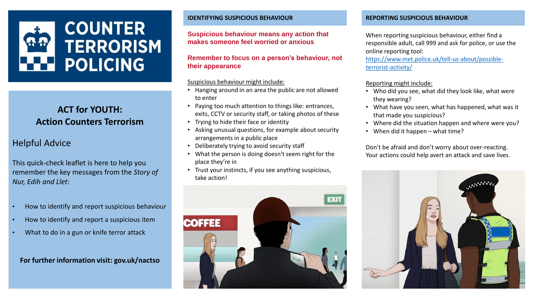

## **ACT for YOUTH: Action Counters Terrorism**

### Helpful Advice

This quick-check leaflet is here to help you remember the key messages from the *Story of Nur, Edih and Llet:*

- How to identify and report suspicious behaviour
- How to identify and report a suspicious item
- What to do in a gun or knife terror attack

**For further information visit: gov.uk/nactso**

#### **IDENTIFYING SUSPICIOUS BEHAVIOUR REPORTING SUSPICIOUS BEHAVIOUR**

#### **Suspicious behaviour means any action that makes someone feel worried or anxious**

#### **Remember to focus on a person's behaviour, not their appearance**

#### Suspicious behaviour might include:

- Hanging around in an area the public are not allowed to enter
- Paying too much attention to things like: entrances, exits, CCTV or security staff, or taking photos of these
- Trying to hide their face or identity
- Asking unusual questions, for example about security arrangements in a public place
- Deliberately trying to avoid security staff
- What the person is doing doesn't seem right for the place they're in
- Trust your instincts, if you see anything suspicious, take action!



When reporting suspicious behaviour, either find a responsible adult, call 999 and ask for police, or use the online reporting tool:

[https://www.met.police.uk/tell-us-about/possible](https://beta.met.police.uk/tell-us-about/possible-terrorist-activity/report-possible-terrorist-activity)[terrorist-activity/](https://beta.met.police.uk/tell-us-about/possible-terrorist-activity/report-possible-terrorist-activity)

#### Reporting might include:

- Who did you see, what did they look like, what were they wearing?
- What have you seen, what has happened, what was it that made you suspicious?
- Where did the situation happen and where were you?
- When did it happen what time?

Don't be afraid and don't worry about over-reacting. Your actions could help avert an attack and save lives.